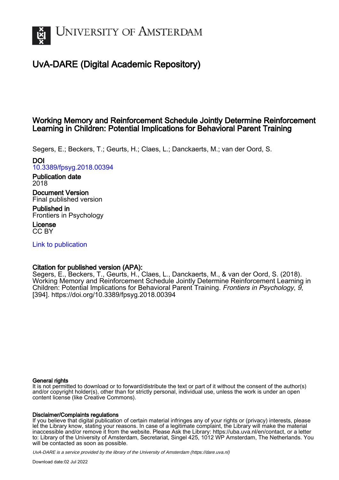

## UvA-DARE (Digital Academic Repository)

### Working Memory and Reinforcement Schedule Jointly Determine Reinforcement Learning in Children: Potential Implications for Behavioral Parent Training

Segers, E.; Beckers, T.; Geurts, H.; Claes, L.; Danckaerts, M.; van der Oord, S.

DOI

[10.3389/fpsyg.2018.00394](https://doi.org/10.3389/fpsyg.2018.00394)

Publication date 2018

Document Version Final published version

Published in Frontiers in Psychology

License CC BY

[Link to publication](https://dare.uva.nl/personal/pure/en/publications/working-memory-and-reinforcement-schedule-jointly-determine-reinforcement-learning-in-children-potential-implications-for-behavioral-parent-training(f38155b0-6909-4b72-a70c-02d71c05293f).html)

### Citation for published version (APA):

Segers, E., Beckers, T., Geurts, H., Claes, L., Danckaerts, M., & van der Oord, S. (2018). Working Memory and Reinforcement Schedule Jointly Determine Reinforcement Learning in Children: Potential Implications for Behavioral Parent Training. Frontiers in Psychology, 9, [394].<https://doi.org/10.3389/fpsyg.2018.00394>

#### General rights

It is not permitted to download or to forward/distribute the text or part of it without the consent of the author(s) and/or copyright holder(s), other than for strictly personal, individual use, unless the work is under an open content license (like Creative Commons).

#### Disclaimer/Complaints regulations

If you believe that digital publication of certain material infringes any of your rights or (privacy) interests, please let the Library know, stating your reasons. In case of a legitimate complaint, the Library will make the material inaccessible and/or remove it from the website. Please Ask the Library: https://uba.uva.nl/en/contact, or a letter to: Library of the University of Amsterdam, Secretariat, Singel 425, 1012 WP Amsterdam, The Netherlands. You will be contacted as soon as possible.

UvA-DARE is a service provided by the library of the University of Amsterdam (http*s*://dare.uva.nl)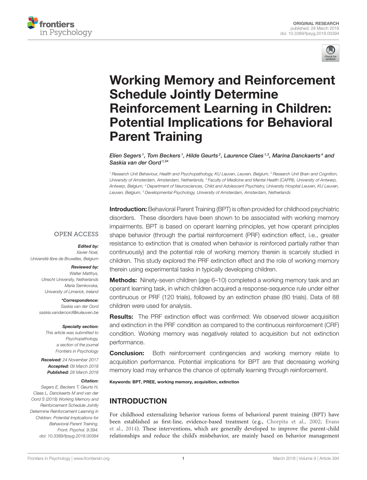



# Working Memory and Reinforcement Schedule Jointly Determine Reinforcement Learning in Children: [Potential Implications for Behavioral](https://www.frontiersin.org/articles/10.3389/fpsyg.2018.00394/full) Parent Training

Elien Segers 1, [Tom Beckers](http://loop.frontiersin.org/people/10581/overview) 1, Hilde Geurts 2, [Laurence Claes](http://loop.frontiersin.org/people/539618/overview) 1.3, Marina Danckaerts 4 and [Saskia van der Oord](http://loop.frontiersin.org/people/478362/overview)<sup>1,5\*</sup>

<sup>1</sup> Research Unit Behaviour, Health and Psychopathology, KU Leuven, Leuven, Belgium, <sup>2</sup> Research Unit Brain and Cognition, University of Amsterdam, Amsterdam, Netherlands, <sup>3</sup> Faculty of Medicine and Mental Health (CAPRI), University of Antwerp, Antwerp, Belgium, <sup>4</sup> Department of Neurosciences, Child and Adolescent Psychiatry, University Hospital Leuven, KU Leuven, Leuven, Belgium, <sup>5</sup> Developmental Psychology, University of Amsterdam, Amsterdam, Netherlands

**Introduction:** Behavioral Parent Training (BPT) is often provided for childhood psychiatric disorders. These disorders have been shown to be associated with working memory impairments. BPT is based on operant learning principles, yet how operant principles shape behavior (through the partial reinforcement (PRF) extinction effect, i.e., greater resistance to extinction that is created when behavior is reinforced partially rather than continuously) and the potential role of working memory therein is scarcely studied in children. This study explored the PRF extinction effect and the role of working memory therein using experimental tasks in typically developing children.

#### **OPEN ACCESS**

#### Edited by:

Xavier Noel, Université libre de Bruxelles, Belgium

#### Reviewed by:

Walter Matthys, Utrecht University, Netherlands Maria Semkovska, University of Limerick, Ireland

\*Correspondence: Saskia van der Oord [saskia.vanderoord@kuleuven.be](mailto:saskia.vanderoord@kuleuven.be)

#### Specialty section:

This article was submitted to Psychopathology, a section of the journal Frontiers in Psychology

Received: 24 November 2017 Accepted: 09 March 2018 Published: 28 March 2018

#### Citation:

Segers E, Beckers T, Geurts H, Claes L, Danckaerts M and van der Oord S (2018) Working Memory and Reinforcement Schedule Jointly Determine Reinforcement Learning in Children: Potential Implications for Behavioral Parent Training. Front. Psychol. 9:394. doi: [10.3389/fpsyg.2018.00394](https://doi.org/10.3389/fpsyg.2018.00394)

Methods: Ninety-seven children (age 6–10) completed a working memory task and an

operant learning task, in which children acquired a response-sequence rule under either continuous or PRF (120 trials), followed by an extinction phase (80 trials). Data of 88 children were used for analysis.

**Results:** The PRF extinction effect was confirmed: We observed slower acquisition and extinction in the PRF condition as compared to the continuous reinforcement (CRF) condition. Working memory was negatively related to acquisition but not extinction performance.

**Conclusion:** Both reinforcement contingencies and working memory relate to acquisition performance. Potential implications for BPT are that decreasing working memory load may enhance the chance of optimally learning through reinforcement.

Keywords: BPT, PREE, working memory, acquisition, extinction

### INTRODUCTION

For childhood externalizing behavior various forms of behavioral parent training (BPT) have been established as first-line, evidence-based treatment (e.g., [Chorpita et al., 2002;](#page-9-0) Evans et al., [2014\)](#page-9-1). These interventions, which are generally developed to improve the parent-child relationships and reduce the child's misbehavior, are mainly based on behavior management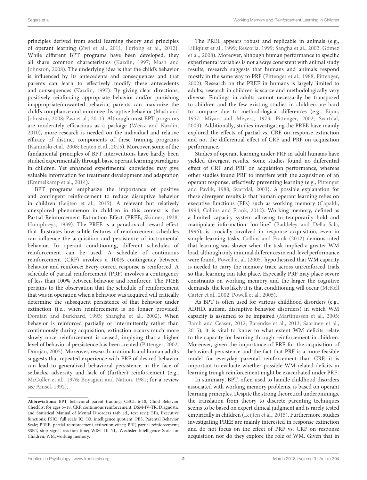principles derived from social learning theory and principles of operant learning [\(Zwi et al., 2011;](#page-10-0) [Furlong et al., 2012\)](#page-9-2). While different BPT programs have been developed, they all share common characteristics [\(Kazdin, 1997;](#page-9-3) Mash and Johnston, [2008\)](#page-9-4). The underlying idea is that the child's behavior is influenced by its antecedents and consequences and that parents can learn to effectively modify these antecedents and consequences [\(Kazdin, 1997\)](#page-9-3). By giving clear directions, positively reinforcing appropriate behavior and/or punishing inappropriate/unwanted behavior, parents can maximize the child's compliance and minimize disruptive behavior (Mash and Johnston, [2008;](#page-9-4) [Zwi et al., 2011\)](#page-10-0). Although most BPT programs are moderately efficacious as a package [\(Weisz and Kazdin,](#page-9-5) [2010\)](#page-9-5), more research is needed on the individual and relative efficacy of distinct components of these training programs [\(Kaminski et al., 2008;](#page-9-6) [Leijten et al., 2015\)](#page-9-7). Moreover, some of the fundamental principles of BPT interventions have hardly been studied experimentally through basic operant learning paradigms in children. Yet enhanced experimental knowledge may give valuable information for treatment development and adaptation [\(Emmelkamp et al., 2014\)](#page-9-8).

BPT programs emphasize the importance of positive and contingent reinforcement to reduce disruptive behavior in children [\(Leijten et al., 2015\)](#page-9-7). A relevant but relatively unexplored phenomenon in children in this context is the Partial Reinforcement Extinction Effect (PREE; [Skinner, 1938;](#page-9-9) [Humphreys, 1939\)](#page-9-10). The PREE is a paradoxical reward effect that illustrates how subtle features of reinforcement schedules can influence the acquisition and persistence of instrumental behavior. In operant conditioning, different schedules of reinforcement can be used. A schedule of continuous reinforcement (CRF) involves a 100% contingency between behavior and reinforce: Every correct response is reinforced. A schedule of partial reinforcement (PRF) involves a contingency of less than 100% between behavior and reinforcer. The PREE pertains to the observation that the schedule of reinforcement that was in operation when a behavior was acquired will critically determine the subsequent persistence of that behavior under extinction (i.e., when reinforcement is no longer provided; [Domjan and Burkhard, 1993;](#page-9-11) [Shangha et al., 2002\)](#page-9-12). When behavior is reinforced partially or intermittently rather than continuously during acquisition, extinction occurs much more slowly once reinforcement is ceased, implying that a higher level of behavioral persistence has been created [\(Pittenger, 2002;](#page-9-13) [Domjan, 2005\)](#page-9-14). Moreover, research in animals and human adults suggests that repeated experience with PRF of desired behavior can lead to generalized behavioral persistence in the face of setbacks, adversity and lack of (further) reinforcement (e.g., [McCuller et al., 1976;](#page-9-15) [Boyagian and Nation, 1981;](#page-8-0) for a review see [Amsel, 1992\)](#page-8-1).

The PREE appears robust and replicable in animals (e.g., [Lilliquist et al., 1999;](#page-9-16) [Rescorla, 1999;](#page-9-17) [Sangha et al., 2002;](#page-9-18) Gómez et al., [2008\)](#page-9-19). Moreover, although human performance to specific experimental variables is not always consistent with animal study results, research suggests that humans and animals respond mostly in the same way to PRF [\(Pittenger et al., 1988;](#page-9-20) [Pittenger,](#page-9-13) [2002\)](#page-9-13). Research on the PREE in humans is largely limited to adults; research in children is scarce and methodologically very diverse. Findings in adults cannot necessarily be transposed to children and the few existing studies in children are hard to compare due to methodological differences (e.g., [Bijou,](#page-8-2) [1957;](#page-8-2) [Miyao and Meyers, 1973;](#page-9-21) [Pittenger, 2002;](#page-9-13) [Svartdal,](#page-9-22) [2003\)](#page-9-22). Additionally, studies investigating the PREE have mainly explored the effects of partial vs. CRF on response extinction and not the differential effect of CRF and PRF on acquisition performance.

Studies of operant learning under PRF in adult humans have yielded divergent results. Some studies found no differential effect of CRF and PRF on acquisition performance, whereas other studies found PRF to interfere with the acquisition of an operant response, effectively preventing learning (e.g., Pittenger and Pavlik, [1988;](#page-9-23) [Svartdal, 2003\)](#page-9-22). A possible explanation for these divergent results is that human operant learning relies on executive functions (EFs) such as working memory [\(Capaldi,](#page-8-3) [1994;](#page-8-3) [Collins and Frank, 2012\)](#page-9-24). Working memory, defined as a limited capacity system allowing to temporarily hold and manipulate information "on-line" [\(Baddeley and Della Sala,](#page-8-4) [1996\)](#page-8-4), is crucially involved in response acquisition, even in simple learning tasks. [Collins and Frank \(2012\)](#page-9-24) demonstrated that learning was slower when the task implied a greater WM load, although only minimal differences in end-level performance were found. [Powell et al. \(2005\)](#page-9-25) hypothesized that WM capacity is needed to carry the memory trace across unreinforced trials so that learning can take place. Especially PRF may place severe constraints on working memory and the larger the cognitive demands, the less likely it is that conditioning will occur (McKell Carter et al., [2002;](#page-9-26) [Powell et al., 2005\)](#page-9-25).

As BPT is often used for various childhood disorders (e.g., ADHD, autism, disruptive behavior disorders) in which WM capacity is assumed to be impaired [\(Martinussen et al., 2005;](#page-9-27) [Barch and Ceaser, 2012;](#page-8-5) [Barendse et al., 2013;](#page-8-6) [Saarinen et al.,](#page-9-28) [2015\)](#page-9-28), it is vital to know to what extent WM deficits relate to the capacity for learning through reinforcement in children. Moreover, given the importance of PRF for the acquisition of behavioral persistence and the fact that PRF is a more feasible model for everyday parental reinforcement than CRF, it is important to evaluate whether possible WM-related deficits in learning trough reinforcement might be exacerbated under PRF.

In summary, BPT, often used to handle childhood disorders associated with working memory problems, is based on operant learning principles. Despite the strong theoretical underpinnings, the translation from theory to discrete parenting techniques seems to be based on expert clinical judgment and is rarely tested empirically in children [\(Leijten et al., 2015\)](#page-9-7). Furthermore, studies investigating PREE are mainly interested in response extinction and do not focus on the effect of PRF vs. CRF on response acquisition nor do they explore the role of WM. Given that in

**Abbreviations:** BPT, behavioral parent training; CBCL 6-18, Child Behavior Checklist for ages 6–18; CRF, continuous reinforcement; DSM-IV-TR, Diagnostic and Statistical Manual of Mental Disorders (4th ed., text rev.); EFs, Executive functions; FSIQ, full scale IQ; IQ, intelligence quotient; PBS, Parental Behavior Scale; PREE, partial reinforcement extinction effect; PRF, partial reinforcement; SSRT, stop signal reaction time; WISC-III-NL, Wechsler Intelligence Scale for Children; WM, working memory.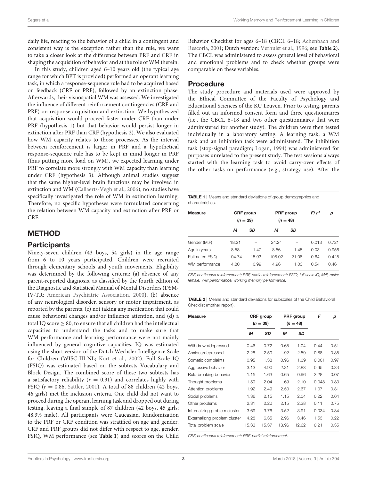daily life, reacting to the behavior of a child in a contingent and consistent way is the exception rather than the rule, we want to take a closer look at the difference between PRF and CRF in shaping the acquisition of behavior and at the role of WM therein.

In this study, children aged 6–10 years old (the typical age range for which BPT is provided) performed an operant learning task, in which a response-sequence rule had to be acquired based on feedback (CRF or PRF), followed by an extinction phase. Afterwards, their visuospatial WM was assessed. We investigated the influence of different reinforcement contingencies (CRF and PRF) on response acquisition and extinction. We hypothesized that acquisition would proceed faster under CRF than under PRF (hypothesis 1) but that behavior would persist longer in extinction after PRF than CRF (hypothesis 2). We also evaluated how WM capacity relates to those processes. As the interval between reinforcement is larger in PRF and a hypothetical response-sequence rule has to be kept in mind longer in PRF (thus putting more load on WM), we expected learning under PRF to correlate more strongly with WM capacity than learning under CRF (hypothesis 3). Although animal studies suggest that the same higher-level brain functions may be involved in extinction and WM [\(Callaerts-Vegh et al., 2006\)](#page-8-7), no studies have specifically investigated the role of WM in extinction learning. Therefore, no specific hypotheses were formulated concerning the relation between WM capacity and extinction after PRF or CRF.

### METHOD

#### **Participants**

Ninety-seven children (43 boys, 54 girls) in the age range from 6 to 10 years participated. Children were recruited through elementary schools and youth movements. Eligibility was determined by the following criteria: (a) absence of any parent-reported diagnosis, as classified by the fourth edition of the Diagnostic and Statistical Manual of Mental Disorders (DSM-IV-TR; [American Psychiatric Association, 2000\)](#page-8-8), (b) absence of any neurological disorder, sensory or motor impairment, as reported by the parents, (c) not taking any medication that could cause behavioral changes and/or influence attention, and (d) a total IQ score  $\geq 80$ , to ensure that all children had the intellectual capacities to understand the tasks and to make sure that WM performance and learning performance were not mainly influenced by general cognitive capacities. IQ was estimated using the short version of the Dutch Wechsler Intelligence Scale for Children (WISC-III-NL; [Kort et al., 2002\)](#page-9-29). Full Scale IQ (FSIQ) was estimated based on the subtests Vocabulary and Block Design. The combined score of these two subtests has a satisfactory reliability ( $r = 0.91$ ) and correlates highly with FSIQ ( $r = 0.86$ ; [Sattler, 2001\)](#page-9-30). A total of 88 children (42 boys, 46 girls) met the inclusion criteria. One child did not want to proceed during the operant learning task and dropped out during testing, leaving a final sample of 87 children (42 boys, 45 girls; 48.3% male). All participants were Caucasian. Randomization to the PRF or CRF condition was stratified on age and gender. CRF and PRF groups did not differ with respect to age, gender, FSIQ, WM performance (see **[Table 1](#page-3-0)**) and scores on the Child Behavior Checklist for ages 6–18 (CBCL 6–18; Achenbach and Rescorla, [2001;](#page-8-9) Dutch version: [Verhulst et al., 1996;](#page-9-31) see **[Table 2](#page-3-1)**). The CBCL was administered to assess general level of behavioral and emotional problems and to check whether groups were comparable on these variables.

#### Procedure

The study procedure and materials used were approved by the Ethical Committee of the Faculty of Psychology and Educational Sciences of the KU Leuven. Prior to testing, parents filled out an informed consent form and three questionnaires (i.e., the CBCL 6–18 and two other questionnaires that were administered for another study). The children were then tested individually in a laboratory setting. A learning task, a WM task and an inhibition task were administered. The inhibition task (stop-signal paradigm; [Logan, 1994\)](#page-9-32) was administered for purposes unrelated to the present study. The test sessions always started with the learning task to avoid carry-over effects of the other tasks on performance (e.g., strategy use). After the

<span id="page-3-0"></span>TABLE 1 | Means and standard deviations of group demographics and characteristics.

| <b>Measure</b> | <b>CRF</b> group<br>$(n = 39)$ |       | <b>PRF</b> group<br>$(n = 48)$ |           | $F/\chi^2$ | р     |
|----------------|--------------------------------|-------|--------------------------------|-----------|------------|-------|
|                | м                              | SD    | м                              | <b>SD</b> |            |       |
| Gender (M:F)   | 18:21                          |       | 24:24                          |           | 0.013      | 0.721 |
| Age in years   | 8.58                           | 1.47  | 8.56                           | 1.45      | 0.03       | 0.956 |
| Estimated FSIQ | 104.74                         | 15.93 | 108.02                         | 21.08     | 0.64       | 0.425 |
| WM performance | 4.80                           | 0.99  | 4.96                           | 1.03      | 0.54       | 0.46  |

CRF, continuous reinforcement; PRF, partial reinforcement; FSIQ, full scale IQ; M:F, male: female; WM performance, working memory performance.

<span id="page-3-1"></span>**TABLE 2 | Means and standard deviations for subscales of the Child Behavioral** Checklist (mother report).

| <b>Measure</b>                | <b>CRF</b> group<br>$(n = 39)$ |       | PRF group<br>$(n = 48)$ |       | F     | р    |
|-------------------------------|--------------------------------|-------|-------------------------|-------|-------|------|
|                               | M                              | SD    | М                       | SD    |       |      |
| Withdrawn/depressed           | 0.46                           | 0.72  | 0.65                    | 1.04  | 0.44  | 0.51 |
| Anxious/depressed             | 2.28                           | 2.50  | 1.92                    | 2.59  | 0.88  | 0.35 |
| Somatic complaints            | 0.95                           | 1.38  | 0.96                    | 1.09  | 0.001 | 0.97 |
| Aggressive behavior           | 3.13                           | 4.90  | 2.31                    | 2.83  | 0.95  | 0.33 |
| Rule-breaking behavior        | 1.15                           | 1.63  | 0.65                    | 0.96  | 3.28  | 0.07 |
| Thought problems              | 1.59                           | 2.04  | 1.69                    | 2.10  | 0.048 | 0.83 |
| Attention problems            | 1.92                           | 2.49  | 2.50                    | 2.67  | 1.07  | 0.31 |
| Social problems               | 1.36                           | 2.15  | 1.15                    | 2.04  | 0.22  | 0.64 |
| Other problems                | 2.31                           | 2.20  | 2.15                    | 2.38  | 0.11  | 0.75 |
| Internalizing problem cluster | 3.69                           | 3.76  | 3.52                    | 3.91  | 0.034 | 0.84 |
| Externalizing problem cluster | 4.28                           | 6.35  | 2.96                    | 3.46  | 1.53  | 0.22 |
| Total problem scale           | 15.33                          | 15.37 | 13.96                   | 12.62 | 0.21  | 0.35 |

CRF, continuous reinforcement; PRF, partial reinforcement.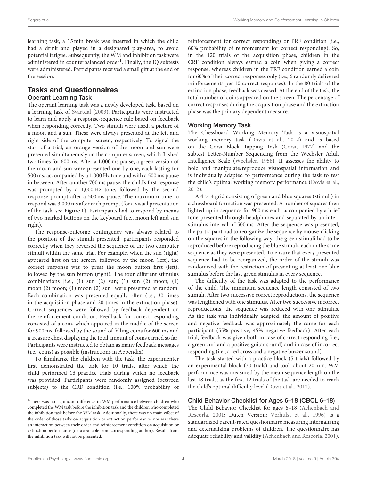learning task, a 15 min break was inserted in which the child had a drink and played in a designated play-area, to avoid potential fatigue. Subsequently, the WM and inhibition task were administered in counterbalanced order<sup>[1](#page-4-0)</sup>. Finally, the IQ subtests were administered. Participants received a small gift at the end of the session.

#### Tasks and Questionnaires

#### Operant Learning Task

The operant learning task was a newly developed task, based on a learning task of [Svartdal \(2003\)](#page-9-22). Participants were instructed to learn and apply a response-sequence rule based on feedback when responding correctly. Two stimuli were used, a picture of a moon and a sun. These were always presented at the left and right side of the computer screen, respectively. To signal the start of a trial, an orange version of the moon and sun were presented simultaneously on the computer screen, which flashed two times for 600 ms. After a 1,000 ms pause, a green version of the moon and sun were presented one by one, each lasting for 500 ms, accompanied by a 1,000 Hz tone and with a 500 ms pause in between. After another 700 ms pause, the child's first response was prompted by a 1,000 Hz tone, followed by the second response prompt after a 500 ms pause. The maximum time to respond was 3,000 ms after each prompt (for a visual presentation of the task, see **[Figure 1](#page-5-0)**). Participants had to respond by means of two marked buttons on the keyboard (i.e., moon left and sun right).

The response-outcome contingency was always related to the position of the stimuli presented: participants responded correctly when they reversed the sequence of the two computer stimuli within the same trial. For example, when the sun (right) appeared first on the screen, followed by the moon (left), the correct response was to press the moon button first (left), followed by the sun button (right). The four different stimulus combinations [i.e.,  $(1)$  sun  $(2)$  sun;  $(1)$  sun  $(2)$  moon;  $(1)$ moon (2) moon; (1) moon (2) sun] were presented at random. Each combination was presented equally often (i.e., 30 times in the acquisition phase and 20 times in the extinction phase). Correct sequences were followed by feedback dependent on the reinforcement condition. Feedback for correct responding consisted of a coin, which appeared in the middle of the screen for 900 ms, followed by the sound of falling coins for 600 ms and a treasure chest displaying the total amount of coins earned so far. Participants were instructed to obtain as many feedback messages (i.e., coins) as possible (instructions in Appendix).

To familiarize the children with the task, the experimenter first demonstrated the task for 10 trials, after which the child performed 16 practice trials during which no feedback was provided. Participants were randomly assigned (between subjects) to the CRF condition (i.e., 100% probability of reinforcement for correct responding) or PRF condition (i.e., 60% probability of reinforcement for correct responding). So, in the 120 trials of the acquisition phase, children in the CRF condition always earned a coin when giving a correct response, whereas children in the PRF condition earned a coin for 60% of their correct responses only (i.e., 6 randomly delivered reinforcements per 10 correct responses). In the 80 trials of the extinction phase, feedback was ceased. At the end of the task, the total number of coins appeared on the screen. The percentage of correct responses during the acquisition phase and the extinction phase was the primary dependent measure.

#### Working Memory Task

The Chessboard Working Memory Task is a visuospatial working memory task [\(Dovis et al., 2012\)](#page-9-33) and is based on the Corsi Block Tapping Task [\(Corsi, 1972\)](#page-9-34) and the subtest Letter-Number Sequencing from the Wechsler Adult Intelligence Scale [\(Wechsler, 1958\)](#page-9-35). It assesses the ability to hold and manipulate/reproduce visuospatial information and is individually adapted to performance during the task to test the child's optimal working memory performance [\(Dovis et al.,](#page-9-33) [2012\)](#page-9-33).

 $A$  4  $\times$  4 grid consisting of green and blue squares (stimuli) in a chessboard formation was presented. A number of squares then lighted up in sequence for 900 ms each, accompanied by a brief tone presented through headphones and separated by an interstimulus-interval of 500 ms. After the sequence was presented, the participant had to reorganize the sequence by mouse-clicking on the squares in the following way: the green stimuli had to be reproduced before reproducing the blue stimuli, each in the same sequence as they were presented. To ensure that every presented sequence had to be reorganized, the order of the stimuli was randomized with the restriction of presenting at least one blue stimulus before the last green stimulus in every sequence.

The difficulty of the task was adapted to the performance of the child. The minimum sequence length consisted of two stimuli. After two successive correct reproductions, the sequence was lengthened with one stimulus. After two successive incorrect reproductions, the sequence was reduced with one stimulus. As the task was individually adapted, the amount of positive and negative feedback was approximately the same for each participant (55% positive, 45% negative feedback). After each trial, feedback was given both in case of correct responding (i.e., a green curl and a positive guitar sound) and in case of incorrect responding (i.e., a red cross and a negative buzzer sound).

The task started with a practice block (5 trials) followed by an experimental block (30 trials) and took about 20 min. WM performance was measured by the mean sequence length on the last 18 trials, as the first 12 trials of the task are needed to reach the child's optimal difficulty level [\(Dovis et al., 2012\)](#page-9-33).

#### Child Behavior Checklist for Ages 6–18 (CBCL 6–18)

The Child Behavior Checklist for ages 6–18 (Achenbach and Rescorla, [2001;](#page-8-9) Dutch Version: [Verhulst et al., 1996\)](#page-9-31) is a standardized parent-rated questionnaire measuring internalizing and externalizing problems of children. The questionnaire has adequate reliability and validity [\(Achenbach and Rescorla, 2001\)](#page-8-9).

<span id="page-4-0"></span><sup>&</sup>lt;sup>1</sup>There was no significant difference in WM performance between children who completed the WM task before the inhibition task and the children who completed the inhibition task before the WM task. Additionally, there was no main effect of the order of those tasks on acquisition or extinction performance, nor was there an interaction between their order and reinforcement condition on acquisition or extinction performance (data available from corresponding author). Results from the inhibition task will not be presented.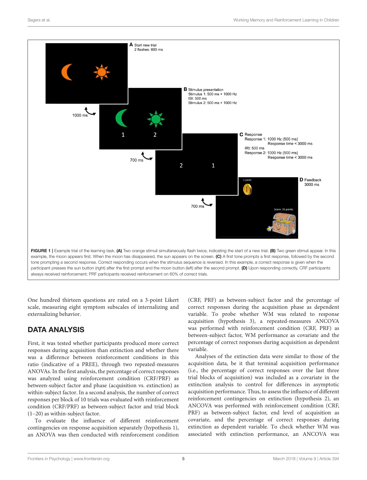

<span id="page-5-0"></span>One hundred thirteen questions are rated on a 3-point Likert scale, measuring eight symptom subscales of internalizing and externalizing behavior.

### DATA ANALYSIS

First, it was tested whether participants produced more correct responses during acquisition than extinction and whether there was a difference between reinforcement conditions in this ratio (indicative of a PREE), through two repeated-measures ANOVAs. In the first analysis, the percentage of correct responses was analyzed using reinforcement condition (CRF/PRF) as between-subject factor and phase (acquisition vs. extinction) as within-subject factor. In a second analysis, the number of correct responses per block of 10 trials was evaluated with reinforcement condition (CRF/PRF) as between-subject factor and trial block (1–20) as within-subject factor.

To evaluate the influence of different reinforcement contingencies on response acquisition separately (hypothesis 1), an ANOVA was then conducted with reinforcement condition (CRF, PRF) as between-subject factor and the percentage of correct responses during the acquisition phase as dependent variable. To probe whether WM was related to response acquisition (hypothesis 3), a repeated-measures ANCOVA was performed with reinforcement condition (CRF, PRF) as between-subject factor, WM performance as covariate and the percentage of correct responses during acquisition as dependent variable.

Analyses of the extinction data were similar to those of the acquisition data, be it that terminal acquisition performance (i.e., the percentage of correct responses over the last three trial blocks of acquisition) was included as a covariate in the extinction analysis to control for differences in asymptotic acquisition performance. Thus, to assess the influence of different reinforcement contingencies on extinction (hypothesis 2), an ANCOVA was performed with reinforcement condition (CRF, PRF) as between-subject factor, end level of acquisition as covariate, and the percentage of correct responses during extinction as dependent variable. To check whether WM was associated with extinction performance, an ANCOVA was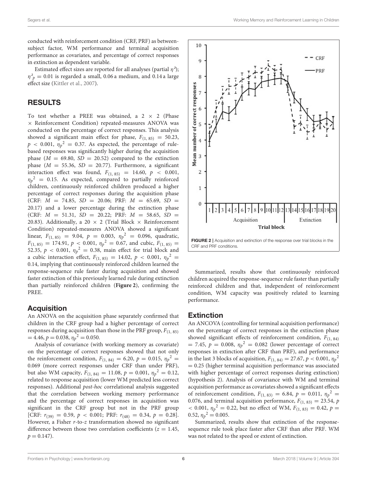conducted with reinforcement condition (CRF, PRF) as betweensubject factor, WM performance and terminal acquisition performance as covariates, and percentage of correct responses in extinction as dependent variable.

Estimated effect sizes are reported for all analyses (partial  $\eta^2$ );  $\eta^2_{\ p} = 0.01$  is regarded a small, 0.06 a medium, and 0.14 a large effect size [\(Kittler et al., 2007\)](#page-9-36).

#### RESULTS

To test whether a PREE was obtained, a  $2 \times 2$  (Phase × Reinforcement Condition) repeated-measures ANOVA was conducted on the percentage of correct responses. This analysis showed a significant main effect for phase,  $F_{(1, 85)} = 50.23$ ,  $p < 0.001$ ,  $\eta_p^2 = 0.37$ . As expected, the percentage of rulebased responses was significantly higher during the acquisition phase  $(M = 69.80, SD = 20.52)$  compared to the extinction phase  $(M = 55.36, SD = 20.77)$ . Furthermore, a significant interaction effect was found,  $F_{(1, 85)} = 14.60, p < 0.001$ ,  $\eta_p{}^2$  = 0.15. As expected, compared to partially reinforced children, continuously reinforced children produced a higher percentage of correct responses during the acquisition phase (CRF:  $M = 74.85$ ,  $SD = 20.06$ ; PRF:  $M = 65.69$ ,  $SD =$ 20.17) and a lower percentage during the extinction phase (CRF:  $M = 51.31$ ,  $SD = 20.22$ ; PRF:  $M = 58.65$ ,  $SD =$ 20.83). Additionally, a 20  $\times$  2 (Trial Block  $\times$  Reinforcement Condition) repeated-measures ANOVA showed a significant linear,  $F_{(1, 85)} = 9.04$ ,  $p = 0.003$ ,  $\eta_p^2 = 0.096$ , quadratic,  $F_{(1, 85)} = 174.91, p < 0.001, \eta_p^2 = 0.67$ , and cubic,  $F_{(1, 85)} =$ 52.35,  $p < 0.001$ ,  $\eta_p^2 = 0.38$ , main effect for trial block and a cubic interaction effect,  $F_{(1, 85)} = 14.02$ ,  $p < 0.001$ ,  $\eta_p^2 =$ 0.14, implying that continuously reinforced children learned the response-sequence rule faster during acquisition and showed faster extinction of this previously learned rule during extinction than partially reinforced children (**[Figure 2](#page-6-0)**), confirming the PREE.

### **Acquisition**

An ANOVA on the acquisition phase separately confirmed that children in the CRF group had a higher percentage of correct responses during acquisition than those in the PRF group,  $F_{(1, 85)}$  $= 4.46, p = 0.038, \eta_p^2 = 0.050.$ 

Analysis of covariance (with working memory as covariate) on the percentage of correct responses showed that not only the reinforcement condition,  $F_{(1, 84)} = 6.20, p = 0.015, \eta_p^2 =$ 0.069 (more correct responses under CRF than under PRF), but also WM capacity,  $F_{(1, 84)} = 11.08$ ,  $p = 0.001$ ,  $\eta_p^2 = 0.12$ , related to response acquisition (lower WM predicted less correct responses). Additional post-hoc correlational analysis suggested that the correlation between working memory performance and the percentage of correct responses in acquisition was significant in the CRF group but not in the PRF group [CRF:  $r_{(39)} = 0.59$ ,  $p < 0.001$ ; PRF:  $r_{(48)} = 0.34$ ,  $p = 0.28$ ]. However, a Fisher r-to-z transformation showed no significant difference between those two correlation coefficients ( $z = 1.45$ ,  $p = 0.147$ .



<span id="page-6-0"></span>Summarized, results show that continuously reinforced children acquired the response-sequence rule faster than partially reinforced children and that, independent of reinforcement condition, WM capacity was positively related to learning performance.

#### Extinction

An ANCOVA (controlling for terminal acquisition performance) on the percentage of correct responses in the extinction phase showed significant effects of reinforcement condition,  $F_{(1, 84)}$  $= 7.45, p = 0.008, \eta_p^2 = 0.082$  (lower percentage of correct responses in extinction after CRF than PRF), and performance in the last 3 blocks of acquisition,  $F_{(1, 84)} = 27.67, p < 0.001, \eta_p^2$ = 0.25 (higher terminal acquisition performance was associated with higher percentage of correct responses during extinction) (hypothesis 2). Analysis of covariance with WM and terminal acquisition performance as covariates showed a significant effects of reinforcement condition,  $F_{(1, 83)} = 6.84$ ,  $p = 0.011$ ,  $\eta_p^2 =$ 0.076, and terminal acquisition performance,  $F_{(1, 83)} = 23.54$ , p  $<$  0.001,  $\eta_p^2 = 0.22$ , but no effect of WM,  $F_{(1, 83)} = 0.42$ ,  $p =$ 0.52,  $\eta_p^2 = 0.005$ .

Summarized, results show that extinction of the responsesequence rule took place faster after CRF than after PRF. WM was not related to the speed or extent of extinction.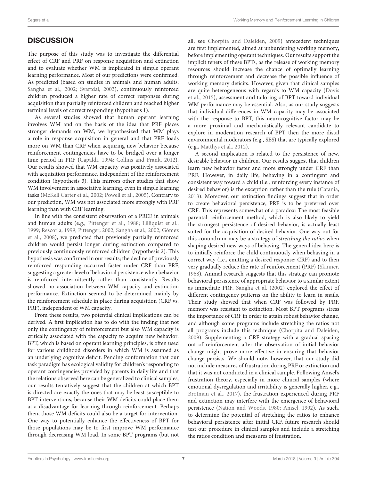### **DISCUSSION**

The purpose of this study was to investigate the differential effect of CRF and PRF on response acquisition and extinction and to evaluate whether WM is implicated in simple operant learning performance. Most of our predictions were confirmed. As predicted (based on studies in animals and human adults; [Sangha et al., 2002;](#page-9-18) [Svartdal, 2003\)](#page-9-22), continuously reinforced children produced a higher rate of correct responses during acquisition than partially reinforced children and reached higher terminal levels of correct responding (hypothesis 1).

As several studies showed that human operant learning involves WM and on the basis of the idea that PRF places stronger demands on WM, we hypothesized that WM plays a role in response acquisition in general and that PRF loads more on WM than CRF when acquiring new behavior because reinforcement contingencies have to be bridged over a longer time period in PRF [\(Capaldi, 1994;](#page-8-3) [Collins and Frank, 2012\)](#page-9-24). Our results showed that WM capacity was positively associated with acquisition performance, independent of the reinforcement condition (hypothesis 3). This mirrors other studies that show WM involvement in associative learning, even in simple learning tasks [\(McKell Carter et al., 2002;](#page-9-26) [Powell et al., 2005\)](#page-9-25). Contrary to our prediction, WM was not associated more strongly with PRF learning than with CRF learning.

In line with the consistent observation of a PREE in animals and human adults (e.g., [Pittenger et al., 1988;](#page-9-20) [Lilliquist et al.,](#page-9-16) [1999;](#page-9-16) [Rescorla, 1999;](#page-9-17) [Pittenger, 2002;](#page-9-13) [Sangha et al., 2002;](#page-9-18) Gómez et al., [2008\)](#page-9-19), we predicted that previously partially reinforced children would persist longer during extinction compared to previously continuously reinforced children (hypothesis 2). This hypothesis was confirmed in our results; the decline of previously reinforced responding occurred faster under CRF than PRF, suggesting a greater level of behavioral persistence when behavior is reinforced intermittently rather than consistently. Results showed no association between WM capacity and extinction performance. Extinction seemed to be determined mainly by the reinforcement schedule in place during acquisition (CRF vs. PRF), independent of WM capacity.

From these results, two potential clinical implications can be derived. A first implication has to do with the finding that not only the contingency of reinforcement but also WM capacity is critically associated with the capacity to acquire new behavior. BPT, which is based on operant learning principles, is often used for various childhood disorders in which WM is assumed as an underlying cognitive deficit. Pending conformation that our task paradigm has ecological validity for children's responding to operant contingencies provided by parents in daily life and that the relations observed here can be generalized to clinical samples, our results tentatively suggest that the children at which BPT is directed are exactly the ones that may be least susceptible to BPT interventions, because their WM deficits could place them at a disadvantage for learning through reinforcement. Perhaps then, those WM deficits could also be a target for intervention. One way to potentially enhance the effectiveness of BPT for those populations may be to first improve WM performance through decreasing WM load. In some BPT programs (but not all, see [Chorpita and Daleiden, 2009\)](#page-8-10) antecedent techniques are first implemented, aimed at unburdening working memory, before implementing operant techniques. Our results support the implicit tenets of these BPTs, as the release of working memory resources should increase the chance of optimally learning through reinforcement and decrease the possible influence of working memory deficits. However, given that clinical samples are quite heterogeneous with regards to WM capacity (Dovis et al., [2015\)](#page-9-37), assessment and tailoring of BPT toward individual WM performance may be essential. Also, as our study suggests that individual differences in WM capacity may be associated with the response to BPT, this neurocognitive factor may be a more proximal and mechanistically relevant candidate to explore in moderation research of BPT then the more distal environmental moderators (e.g., SES) that are typically explored (e.g., [Matthys et al., 2012\)](#page-9-38).

A second implication is related to the persistence of new, desirable behavior in children. Our results suggest that children learn new behavior faster and more strongly under CRF than PRF. However, in daily life, behaving in a contingent and consistent way toward a child (i.e., reinforcing every instance of desired behavior) is the exception rather than the rule [\(Catania,](#page-8-11) [2013\)](#page-8-11). Moreover, our extinction findings suggest that in order to create behavioral persistence, PRF is to be preferred over CRF. This represents somewhat of a paradox: The most feasible parental reinforcement method, which is also likely to yield the strongest persistence of desired behavior, is actually least suited for the acquisition of desired behavior. One way out for this conundrum may be a strategy of stretching the ratios when shaping desired new ways of behaving. The general idea here is to initially reinforce the child continuously when behaving in a correct way (i.e., emitting a desired response; CRF) and to then very gradually reduce the rate of reinforcement (PRF) [\(Skinner,](#page-9-39) [1968\)](#page-9-39). Animal research suggests that this strategy can promote behavioral persistence of appropriate behavior to a similar extent as immediate PRF. [Sangha et al. \(2002\)](#page-9-18) explored the effect of different contingency patterns on the ability to learn in snails. Their study showed that when CRF was followed by PRF, memory was resistant to extinction. Most BPT programs stress the importance of CRF in order to attain robust behavior change, and although some programs include stretching the ratios not all programs include this technique [\(Chorpita and Daleiden,](#page-8-10) [2009\)](#page-8-10). Supplementing a CRF strategy with a gradual spacing out of reinforcement after the observation of initial behavior change might prove more effective in ensuring that behavior change persists. We should note, however, that our study did not include measures of frustration during PRF or extinction and that it was not conducted in a clinical sample. Following Amsel's frustration theory, especially in more clinical samples (where emotional dysregulation and irritability is generally higher, e.g., [Brotman et al., 2017\)](#page-8-12), the frustration experienced during PRF and extinction may interfere with the emergence of behavioral persistence [\(Nation and Woods, 1980;](#page-9-40) [Amsel, 1992\)](#page-8-1). As such, to determine the potential of stretching the ratios to enhance behavioral persistence after initial CRF, future research should test our procedure in clinical samples and include a stretching the ratios condition and measures of frustration.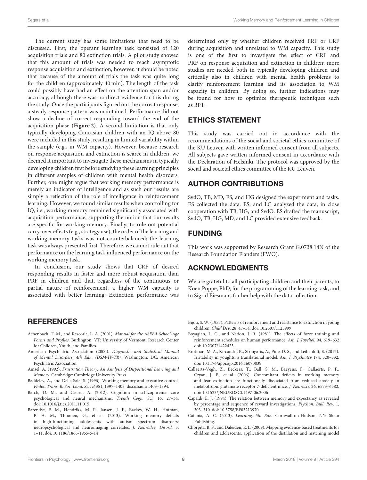The current study has some limitations that need to be discussed. First, the operant learning task consisted of 120 acquisition trials and 80 extinction trials. A pilot study showed that this amount of trials was needed to reach asymptotic response acquisition and extinction, however, it should be noted that because of the amount of trials the task was quite long for the children (approximately 40 min). The length of the task could possibly have had an effect on the attention span and/or accuracy, although there was no direct evidence for this during the study. Once the participants figured out the correct response, a steady response pattern was maintained. Performance did not show a decline of correct responding toward the end of the acquisition phase (**[Figure 2](#page-6-0)**). A second limitation is that only typically developing Caucasian children with an IQ above 80 were included in this study, resulting in limited variability within the sample (e.g., in WM capacity). However, because research on response acquisition and extinction is scarce in children, we deemed it important to investigate these mechanisms in typically developing children first before studying these learning principles in different samples of children with mental health disorders. Further, one might argue that working memory performance is merely an indicator of intelligence and as such our results are simply a reflection of the role of intelligence in reinforcement learning. However, we found similar results when controlling for IQ, i.e., working memory remained significantly associated with acquisition performance, supporting the notion that our results are specific for working memory. Finally, to rule out potential carry-over effects (e.g., strategy use), the order of the learning and working memory tasks was not counterbalanced; the learning task was always presented first. Therefore, we cannot rule out that performance on the learning task influenced performance on the working memory task.

In conclusion, our study shows that CRF of desired responding results in faster and more robust acquisition than PRF in children and that, regardless of the continuous or partial nature of reinforcement, a higher WM capacity is associated with better learning. Extinction performance was

### **REFERENCES**

- <span id="page-8-9"></span>Achenbach, T. M., and Rescorla, L. A. (2001). Manual for the ASEBA School-Age Forms and Profiles. Burlington, VT: University of Vermont, Research Center for Children, Youth, and Families.
- <span id="page-8-8"></span>American Psychiatric Association (2000). Diagnostic and Statistical Manual of Mental Disorders, 4th Edn. (DSM-IV-TR). Washington, DC: American Psychiatric Association.
- <span id="page-8-1"></span>Amsel, A. (1992). Frustration Theory: An Analysis of Dispositional Learning and Memory. Cambridge: Cambridge University Press.
- <span id="page-8-4"></span>Baddeley, A., and Della Sala, S. (1996). Working memory and executive control. Philos. Trans. R. Soc. Lond. Ser. B 351, 1397–1403. discussion: 1403–1394.
- <span id="page-8-5"></span>Barch, D. M., and Ceaser, A. (2012). Cognition in schizophrenia: core psychological and neural mechanisms. Trends Cogn. Sci. 16, 27–34. doi: [10.1016/j.tics.2011.11.015](https://doi.org/10.1016/j.tics.2011.11.015)
- <span id="page-8-6"></span>Barendse, E. M., Hendriks, M. P., Jansen, J. F., Backes, W. H., Hofman, P. A. M., Thoonen, G., et al. (2013). Working memory deficits in high-functioning adolescents with autism spectrum disorders: neuropsychological and neuroimaging correlates. J. Neurodev. Disord. 5, 1–11. doi: [10.1186/1866-1955-5-14](https://doi.org/10.1186/1866-1955-5-14)

determined only by whether children received PRF or CRF during acquisition and unrelated to WM capacity. This study is one of the first to investigate the effect of CRF and PRF on response acquisition and extinction in children; more studies are needed both in typically developing children and critically also in children with mental health problems to clarify reinforcement learning and its association to WM capacity in children. By doing so, further indications may be found for how to optimize therapeutic techniques such as BPT.

### ETHICS STATEMENT

This study was carried out in accordance with the recommendations of the social and societal ethics committee of the KU Leuven with written informed consent from all subjects. All subjects gave written informed consent in accordance with the Declaration of Helsinki. The protocol was approved by the social and societal ethics committee of the KU Leuven.

### AUTHOR CONTRIBUTIONS

SvdO, TB, MD, ES, and HG designed the experiment and tasks. ES collected the data. ES, and LC analyzed the data, in close cooperation with TB, HG, and SvdO. ES drafted the manuscript, SvdO, TB, HG, MD, and LC provided extensive feedback.

### FUNDING

This work was supported by Research Grant G.0738.14N of the Research Foundation Flanders (FWO).

### ACKNOWLEDGMENTS

We are grateful to all participating children and their parents, to Koen Poppe, PhD, for the programming of the learning task, and to Sigrid Biesmans for her help with the data collection.

- <span id="page-8-2"></span>Bijou, S. W. (1957). Patterns of reinforcement and resistance to extinction in young children. Child Dev. 28, 47–54. doi: [10.2307/1125999](https://doi.org/10.2307/1125999)
- <span id="page-8-0"></span>Boyagian, L. G., and Nation, J. R. (1981). The effects of force training and reinforcement schedules on human performance. Am. J. Psychol. 94, 619–632 doi: [10.2307/1422423](https://doi.org/10.2307/1422423)
- <span id="page-8-12"></span>Brotman, M. A., Kircanski, K., Stringaris, A., Pine, D. S., and Leibenluft, E. (2017). Irritability in youghts: a translational model. Am. J. Psychiatry 174, 520–532. doi: [10.1176/appi.ajp.2016.16070839](https://doi.org/10.1176/appi.ajp.2016.16070839)
- <span id="page-8-7"></span>Callaerts-Vegh, Z., Beckers, T., Ball, S. M., Baeyens, F., Callaerts, P. F., Cryan, J. F., et al. (2006). Concomitant deficits in working memory and fear extinction are functionally dissociated from reduced anxiety in metabotropic glutamate receptor 7-deficient mice. J. Neurosci. 26, 6573–6582. doi: [10.1523/JNEUROSCI.1497-06.2006](https://doi.org/10.1523/JNEUROSCI.1497-06.2006)
- <span id="page-8-3"></span>Capaldi, E. J. (1994). The relation between memory and expectancy as revealed by percentage and sequence of reward investigations. Psychon. Bull. Rev. 1, 303–310. doi: [10.3758/BF03213970](https://doi.org/10.3758/BF03213970)
- <span id="page-8-11"></span>Catania, A. C. (2013). Learning, 5th Edn. Cornwall-on-Hudson, NY: Sloan Publishing.
- <span id="page-8-10"></span>Chorpita, B. F., and Daleiden, E. L. (2009). Mapping evidence-based treatments for children and adolescents: application of the distillation and matching model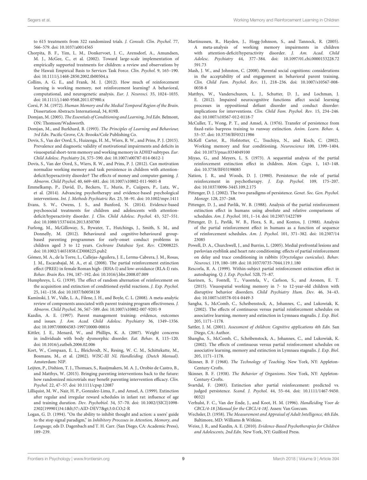to 615 treatments from 322 randomized trials. J. Consult. Clin. Psychol. 77, 566–579. doi: [10.1037/a0014565](https://doi.org/10.1037/a0014565)

- <span id="page-9-0"></span>Chorpita, B. F., Yim, L. M., Donkervoet, J. C., Arensdorf, A., Amundsen, M. J., McGee, C., et al. (2002). Toward large-scale implementation of empirically supported treatments for children: a review and observations by the Hawaii Empirical Basis to Services Task Force. Clin. Psychol. 9, 165–190. doi: [10.1111/j.1468-2850.2002.tb00504.x](https://doi.org/10.1111/j.1468-2850.2002.tb00504.x)
- <span id="page-9-24"></span>Collins, A. G. E., and Frank, M. J. (2012). How much of reinforcement learning is working memory, not reinforcement learning? A behavioral, computational, and neurogenetic analysis. Eur. J. Neurosci. 35, 1024–1035. doi: [10.1111/j.1460-9568.2011.07980.x](https://doi.org/10.1111/j.1460-9568.2011.07980.x)
- <span id="page-9-34"></span>Corsi, P. M. (1972). Human Memory and the Medial Temporal Region of the Brain. Dissertation Abstracts International, 34, 819B.
- <span id="page-9-14"></span>Domjan, M. (2005). The Essentials of Conditioning and Learning, 3rd Edn. Belmont, ON: Thomson/Wadsworth.
- <span id="page-9-11"></span>Domjan, M., and Burkhard, B. (1993). The Principles of Learning and Behaviour, 3rd Edn. Pacific Grove, CA: Brooks/Cole Publishing Co.
- <span id="page-9-37"></span>Dovis, S., Van der Oord, S., Huizenga, H. M., Wiers, R. W., and Prins, P. J. (2015). Prevalence and diagnostic validity of motivational impairments and deficits in visuospatial short-term memory and working memory in ADHD subtypes. Eur. Child Adolesc. Psychiatry 24, 575–590. doi: [10.1007/s00787-014-0612-1](https://doi.org/10.1007/s00787-014-0612-1)
- <span id="page-9-33"></span>Dovis, S., Van der Oord, S., Wiers, R. W., and Prins, P. J. (2012). Can motivation normalize working memory and task persistence in children with attentiondeficit/hyperactivity disorder? The effects of money and computer-gaming. J. Abnorm. Child Psychol. 40, 669–681. doi: [10.1007/s10802-011-9601-8](https://doi.org/10.1007/s10802-011-9601-8)
- <span id="page-9-8"></span>Emmelkamp, P., David, D., Beckers, T., Muris, P., Cuijpers, P., Lutz, W., et al. (2014). Advancing psychotherapy and evidence-based psychological interventions. Int. J. Methods Psychiatric Res. 23, 58–91. doi: [10.1002/mpr.1411](https://doi.org/10.1002/mpr.1411)
- <span id="page-9-1"></span>Evans, S. W., Owens, J. S., and Bunford, N. (2014). Evidence-based psychosocial treatments for children and adolescents with attentiondeficit/hyperactivity disorder. J. Clin. Child Adolesc. Psychol. 43, 527–551. doi: [10.1080/15374416.2013.850700](https://doi.org/10.1080/15374416.2013.850700)
- <span id="page-9-2"></span>Furlong, M., McGilloway, S., Bywater, T., Hutchings, J., Smith, S. M., and Donnelly, M. (2012). Behavioural and cognitive-behavioural groupbased parenting programmes for early-onset conduct problems in children aged 3 to 12 years. Cochrane Database Syst. Rev. CD008225. doi: [10.1002/14651858.CD008225.pub2](https://doi.org/10.1002/14651858.CD008225.pub2)
- <span id="page-9-19"></span>Gómez, M. A., de la Torre, L., Callejas-Aguilera, J. E., Lerma-Cabrera, J. M., Rosas, J. M., Escarabajal, M. A., et al. (2008). The partial reinforcement extinction effect (PREE) in female Roman high- (RHA-I) and low-avoidance (RLA-I) rats. Behav. Brain Res. 194, 187–192. doi: [10.1016/j.bbr.2008.07.009](https://doi.org/10.1016/j.bbr.2008.07.009)
- <span id="page-9-10"></span>Humphreys, L. G. (1939). The effect of random alternation of reinforcement on the acquisition and extinction of conditioned eyelid reactions. J. Exp. Psychol. 25, 141–158. doi: [10.1037/h0058138](https://doi.org/10.1037/h0058138)
- <span id="page-9-6"></span>Kaminski, J. W., Valle, L. A., Filene, J. H., and Boyle, C. L. (2008). A meta-analytic review of components associated with parent training program effectiveness. J. Abnorm. Child Psychol. 36, 567–589. doi: [10.1007/s10802-007-9201-9](https://doi.org/10.1007/s10802-007-9201-9)
- <span id="page-9-3"></span>Kazdin, A. E. (1997). Parent management training: evidence, outcomes and issues. J. Am. Acad. Child Adolesc. Psychiatry 36, 1349–1356. doi: [10.1097/00004583-199710000-00016](https://doi.org/10.1097/00004583-199710000-00016)
- <span id="page-9-36"></span>Kittler, J. E., Menard, W., and Phillips, K. A. (2007). Weight concerns in individuals with body dysmorphic disorder. Eat. Behav. 8, 115–120. doi: [10.1016/j.eatbeh.2006.02.006](https://doi.org/10.1016/j.eatbeh.2006.02.006)
- <span id="page-9-29"></span>Kort, W., Compaan, E. L., Bleichrodt, N., Resing, W. C. M., Schittekatte, M., Bosmans, M., et al. (2002). WISC-III NL Handleiding. (Dutch Manual). Amsterdam: NIP.
- <span id="page-9-7"></span>Leijten, P., Dishion, T. J., Thomaes, S., Raaijmakers, M. A. J., Orobio de Castro, B., and Matthys, W. (2015). Bringing parenting interventions back to the future: how randomized microtrials may benefit parenting intervention efficacy. Clin. Psychol. 22, 47–57. doi: [10.1111/cpsp.12087](https://doi.org/10.1111/cpsp.12087)
- <span id="page-9-16"></span>Lilliquist, M. W., Nair, H. P., Gonzalez-Lima, F., and Amsel, A. (1999). Extinction after regular and irregular reward schedules in infant rat: influence of age and training duration. Dev. Psychobiol. 34, 57–70. doi: 10.1002/(SICI)1098- 2302(199901)34:1<57::AID-DEV7&gt;3.0.CO;2-R
- <span id="page-9-32"></span>Logan, G. D. (1994). "On the ability to inhibit thought and action: a users' guide to the stop signal paradigm," in Inhibitory Processes in Attention, Memory, and Language, eds D. Dagenbach and T. H. Carr. (San Diego, CA: Academic Press), 189–239.
- <span id="page-9-27"></span>Martinussen, R., Hayden, J., Hogg-Johnson, S., and Tannock, R. (2005). A meta-analysis of working memory impairments in children with attention-deficit/hyperactivity disorder. J. Am. Acad. Child Adolesc. Psychiatry [44, 377–384. doi: 10.1097/01.chi.0000153228.72](https://doi.org/10.1097/01.chi.0000153228.72591.73) 591.73
- <span id="page-9-4"></span>Mash, J. W., and Johnston, C. (2008). Parental social cognitions: considerations in the acceptability of and engagement in behavioral parent training. Clin. Child Fam. Psychol. Rev. [11, 218–236. doi: 10.1007/s10567-008-](https://doi.org/10.1007/s10567-008-0038-8) 0038-8
- <span id="page-9-38"></span>Matthys, W., Vanderschuren, L. J., Schutter, D. J., and Lochman, J. E. (2012). Impaired neurocognitive functions affect social learning processes in oppositional defiant disorder and conduct disorder: implications for interventions. Clin. Child Fam. Psychol. Rev. 15, 234–246. doi: [10.1007/s10567-012-0118-7](https://doi.org/10.1007/s10567-012-0118-7)
- <span id="page-9-15"></span>McCuller, T., Wong, P. T., and Amsel, A. (1976). Transfer of persistence from fixed-ratio barpress training to runway extinction. Anim. Learn. Behav. 4, 53–57. doi: [10.3758/BF03211986](https://doi.org/10.3758/BF03211986)
- <span id="page-9-26"></span>McKell Carter, R., Hofstotter, C., Tsuchiya, N., and Koch, C. (2002). Working memory and fear conditioning. Neuroscience 100, 1399–1404. doi: [10.1073/pnas.0334049100](https://doi.org/10.1073/pnas.0334049100)
- <span id="page-9-21"></span>Miyao, G., and Meyers, L. S. (1973). A sequential analysis of the partial reinforcement extinction effect in children. Mem. Cogn. 1, 143–148. doi: [10.3758/BF03198085](https://doi.org/10.3758/BF03198085)
- <span id="page-9-40"></span>Nation, J. R., and Woods, D. J. (1980). Persistence: the role of partial reinforcement in psychotherapy. J. Exp. Psychol. 109, 175–207. doi: [10.1037/0096-3445.109.2.175](https://doi.org/10.1037/0096-3445.109.2.175)
- <span id="page-9-13"></span>Pittenger, D. J. (2002). The two paradigms of persistence. Genet. Soc. Gen. Psychol. Monogr. 128, 237–268.
- <span id="page-9-23"></span>Pittenger, D. J., and Pavlik, W. B. (1988). Analysis of the partial reinforcement extinction effect in humans using absolute and relative comparisons of schedules. Am. J. Psychol. 101, 1–14. doi: [10.2307/1422789](https://doi.org/10.2307/1422789)
- <span id="page-9-20"></span>Pittenger, D. J., Pavlik, W. B., Flora, S. R., and Kontos, J. (1988). Analysis of the partial reinforcement effect in humans as a function of sequence of reinforcement schedules. Am. J. Psychol. [101, 371–382. doi: 10.2307/14](https://doi.org/10.2307/1423085) 23085
- <span id="page-9-25"></span>Powell, D. A., Churchwell, J., and Burriss, L. (2005). Medial prefrontal lesions and pavlovian eyeblink and heart rate conditioning: effects of partial reinforcement on delay and trace conditioning in rabbits (Oryctolagus cuniculus). Behav. Neurosci. 119, 180–189. doi: [10.1037/0735-7044.119.1.180](https://doi.org/10.1037/0735-7044.119.1.180)
- <span id="page-9-17"></span>Rescorla, R. A. (1999). Within-subject partial reinforcement extinction effect in autoshaping. Q. J. Exp. Psychol. 52B, 75–87.
- <span id="page-9-28"></span>Saarinen, S., Fontell, T., Vuontela, V., Carlson, S., and Aronen, E. T. (2015). Visuospatial working memory in 7- to 12-year-old children with disruptive behavior disorders. Child Psychiatry Hum. Dev. 46, 34–43. doi: [10.1007/s10578-014-0449-3](https://doi.org/10.1007/s10578-014-0449-3)
- <span id="page-9-18"></span>Sangha, S., McComb, C., Scheibenstock, A., Johannes, C., and Lukowiak, K. (2002). The effects of continuous versus partial reinforcement schedules on associative learning, memory and extinction in Lymnaea stagnalis. J. Exp. Biol. 205, 1171–1178.
- <span id="page-9-30"></span>Sattler, J. M. (2001). Assessment of children: Cognitive applications 4th Edn. San Diego, CA: Author.
- <span id="page-9-12"></span>Shangha, S., McComb, C., Scheibenstock, A., Johannes, C., and Lukowiak, K. (2002). The effects of continuous versus partial reinforcement schedules on associative learning, memory and extinction in Lymnaea stagnalis. J. Exp. Biol. 205, 1171–1178.
- <span id="page-9-39"></span>Skinner, B. F (1968). The Technology of Teaching. New York, NY: Appleton-Century-Crofts.
- <span id="page-9-9"></span>Skinner, B. F. (1938). The Behavior of Organisms. New York, NY: Appleton-Century-Crofts.
- <span id="page-9-22"></span>Svartdal, F. (2003). Extinction after partial reinforcement: predicted vs. judged persistence. Scand. J. Psychol. [44, 55–64. doi: 10.1111/1467-9450.](https://doi.org/10.1111/1467-9450.00321) 00321
- <span id="page-9-31"></span>Verhulst, F. C., Van der Ende, J., and Koot, H. M. (1996). Handleiding Voor de CBCL/4-18 [Manual for the CBCL/4-18]. Assen: Van Gorcum.
- <span id="page-9-35"></span>Wechsler, D. (1958). The Measurement and Appraisal of Adult Intelligence, 4th Edn. Baltimore, MD: Williams & Witkins.
- <span id="page-9-5"></span>Weisz, J. R., and Kazdin, A. E. (2010). Evidence-Based Psychotherapies for Children and Adolescents, 2nd Edn. New York, NY: Guilford Press.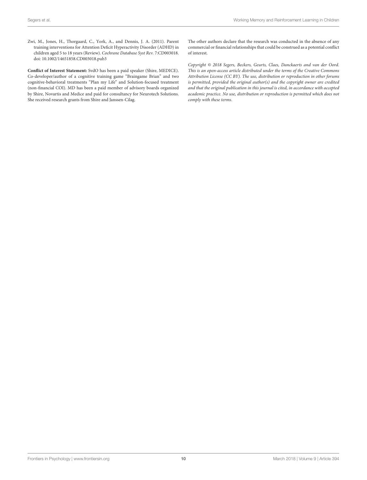<span id="page-10-0"></span>Zwi, M., Jones, H., Thorgaard, C., York, A., and Dennis, J. A. (2011). Parent training interventions for Attention Deficit Hyperactivity Disorder (ADHD) in children aged 5 to 18 years (Review). Cochrane Database Syst Rev. 7:CD003018. doi: [10.1002/14651858.CD003018.pub3](https://doi.org/10.1002/14651858.CD003018.pub3)

**Conflict of Interest Statement:** SvdO has been a paid speaker (Shire, MEDICE). Co-developer/author of a cognitive training game "Braingame Brian" and two cognitive-behavioral treatments "Plan my Life" and Solution-focused treatment (non-financial COI). MD has been a paid member of advisory boards organized by Shire, Novartis and Medice and paid for consultancy for Neurotech Solutions. She received research grants from Shire and Janssen-Cilag.

The other authors declare that the research was conducted in the absence of any commercial or financial relationships that could be construed as a potential conflict of interest.

Copyright © 2018 Segers, Beckers, Geurts, Claes, Danckaerts and van der Oord. This is an open-access article distributed under the terms of the [Creative Commons](http://creativecommons.org/licenses/by/4.0/) [Attribution License \(CC BY\).](http://creativecommons.org/licenses/by/4.0/) The use, distribution or reproduction in other forums is permitted, provided the original author(s) and the copyright owner are credited and that the original publication in this journal is cited, in accordance with accepted academic practice. No use, distribution or reproduction is permitted which does not comply with these terms.